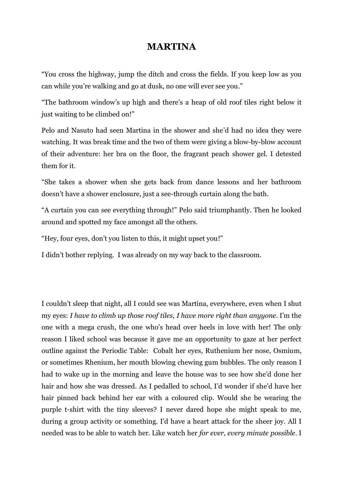## **MARTINA**

"You cross the highway, jump the ditch and cross the fields. If you keep low as you can while you're walking and go at dusk, no one will ever see you."

"The bathroom window's up high and there's a heap of old roof tiles right below it just waiting to be climbed on!"

Pelo and Nasuto had seen Martina in the shower and she'd had no idea they were watching. It was break time and the two of them were giving a blow-by-blow account of their adventure: her bra on the floor, the fragrant peach shower gel. I detested them for it.

"She takes a shower when she gets back from dance lessons and her bathroom doesn't have a shower enclosure, just a see-through curtain along the bath.

"A curtain you can see everything through!" Pelo said triumphantly. Then he looked around and spotted my face amongst all the others.

"Hey, four eyes, don't you listen to this, it might upset you!"

I didn't bother replying. I was already on my way back to the classroom.

I couldn't sleep that night, all I could see was Martina, everywhere, even when I shut my eyes: *I have to climb up those roof tiles, I have more right than anyyone*. I'm the one with a mega crush, the one who's head over heels in love with her! The only reason I liked school was because it gave me an opportunity to gaze at her perfect outline against the Periodic Table: Cobalt her eyes, Ruthenium her nose, Osmium, or sometimes Rhenium, her mouth blowing chewing gum bubbles. The only reason I had to wake up in the morning and leave the house was to see how she'd done her hair and how she was dressed. As I pedalled to school, I'd wonder if she'd have her hair pinned back behind her ear with a coloured clip. Would she be wearing the purple t-shirt with the tiny sleeves? I never dared hope she might speak to me, during a group activity or something. I'd have a heart attack for the sheer joy. All I needed was to be able to watch her. Like watch her *for ever, every minute possible*. I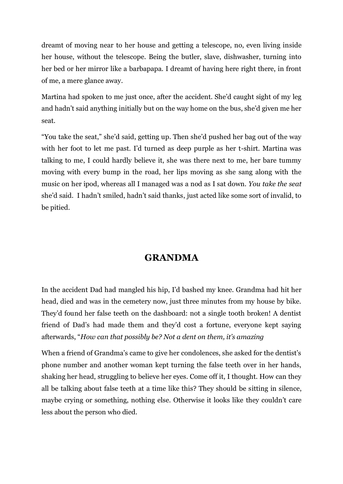dreamt of moving near to her house and getting a telescope, no, even living inside her house, without the telescope. Being the butler, slave, dishwasher, turning into her bed or her mirror like a barbapapa. I dreamt of having here right there, in front of me, a mere glance away.

Martina had spoken to me just once, after the accident. She'd caught sight of my leg and hadn't said anything initially but on the way home on the bus, she'd given me her seat.

"You take the seat," she'd said, getting up. Then she'd pushed her bag out of the way with her foot to let me past. I'd turned as deep purple as her t-shirt. Martina was talking to me, I could hardly believe it, she was there next to me, her bare tummy moving with every bump in the road, her lips moving as she sang along with the music on her ipod, whereas all I managed was a nod as I sat down. *You take the seat* she'd said. I hadn't smiled, hadn't said thanks, just acted like some sort of invalid, to be pitied.

## **GRANDMA**

In the accident Dad had mangled his hip, I'd bashed my knee. Grandma had hit her head, died and was in the cemetery now, just three minutes from my house by bike. They'd found her false teeth on the dashboard: not a single tooth broken! A dentist friend of Dad's had made them and they'd cost a fortune, everyone kept saying afterwards, "*How can that possibly be? Not a dent on them, it's amazing*

When a friend of Grandma's came to give her condolences, she asked for the dentist's phone number and another woman kept turning the false teeth over in her hands, shaking her head, struggling to believe her eyes. Come off it, I thought. How can they all be talking about false teeth at a time like this? They should be sitting in silence, maybe crying or something, nothing else. Otherwise it looks like they couldn't care less about the person who died.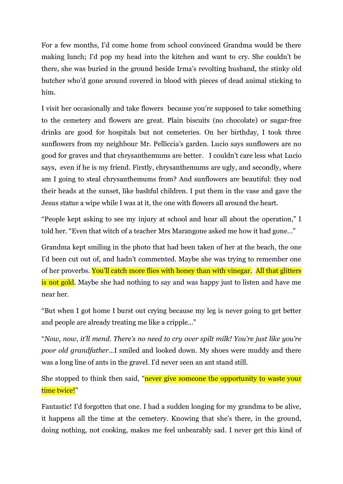For a few months, I'd come home from school convinced Grandma would be there making lunch; I'd pop my head into the kitchen and want to cry. She couldn't be there, she was buried in the ground beside Irma's revolting husband, the stinky old butcher who'd gone around covered in blood with pieces of dead animal sticking to him.

I visit her occasionally and take flowers because you're supposed to take something to the cemetery and flowers are great. Plain biscuits (no chocolate) or sugar-free drinks are good for hospitals but not cemeteries. On her birthday, I took three sunflowers from my neighbour Mr. Pelliccia's garden. Lucio says sunflowers are no good for graves and that chrysanthemums are better. I couldn't care less what Lucio says, even if he is my friend. Firstly, chrysanthemums are ugly, and secondly, where am I going to steal chrysanthemums from? And sunflowers are beautiful: they nod their heads at the sunset, like bashful children. I put them in the vase and gave the Jesus statue a wipe while I was at it, the one with flowers all around the heart.

"People kept asking to see my injury at school and hear all about the operation," I told her. "Even that witch of a teacher Mrs Marangone asked me how it had gone…"

Grandma kept smiling in the photo that had been taken of her at the beach, the one I'd been cut out of, and hadn't commented. Maybe she was trying to remember one of her proverbs. You'll catch more flies with honey than with vinegar. All that glitters is not gold. Maybe she had nothing to say and was happy just to listen and have me near her.

"But when I got home I burst out crying because my leg is never going to get better and people are already treating me like a cripple…"

"*Now, now, it'll mend. There's no need to cry over spilt milk! You're just like you're poor old grandfather*…I smiled and looked down. My shoes were muddy and there was a long line of ants in the gravel. I'd never seen an ant stand still.

She stopped to think then said, "never give someone the opportunity to waste your time twice!"

Fantastic! I'd forgotten that one. I had a sudden longing for my grandma to be alive, it happens all the time at the cemetery. Knowing that she's there, in the ground, doing nothing, not cooking, makes me feel unbearably sad. I never get this kind of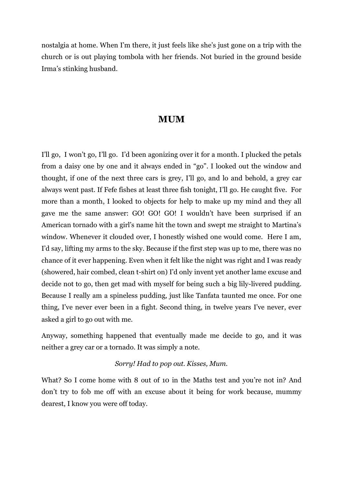nostalgia at home. When I'm there, it just feels like she's just gone on a trip with the church or is out playing tombola with her friends. Not buried in the ground beside Irma's stinking husband.

### **MUM**

I'll go, I won't go, I'll go. I'd been agonizing over it for a month. I plucked the petals from a daisy one by one and it always ended in "go". I looked out the window and thought, if one of the next three cars is grey, I'll go, and lo and behold, a grey car always went past. If Fefe fishes at least three fish tonight, I'll go. He caught five. For more than a month, I looked to objects for help to make up my mind and they all gave me the same answer: GO! GO! GO! I wouldn't have been surprised if an American tornado with a girl's name hit the town and swept me straight to Martina's window. Whenever it clouded over, I honestly wished one would come. Here I am, I'd say, lifting my arms to the sky. Because if the first step was up to me, there was no chance of it ever happening. Even when it felt like the night was right and I was ready (showered, hair combed, clean t-shirt on) I'd only invent yet another lame excuse and decide not to go, then get mad with myself for being such a big lily-livered pudding. Because I really am a spineless pudding, just like Tanfata taunted me once. For one thing, I've never ever been in a fight. Second thing, in twelve years I've never, ever asked a girl to go out with me.

Anyway, something happened that eventually made me decide to go, and it was neither a grey car or a tornado. It was simply a note.

#### *Sorry! Had to pop out. Kisses, Mum.*

What? So I come home with 8 out of 10 in the Maths test and you're not in? And don't try to fob me off with an excuse about it being for work because, mummy dearest, I know you were off today.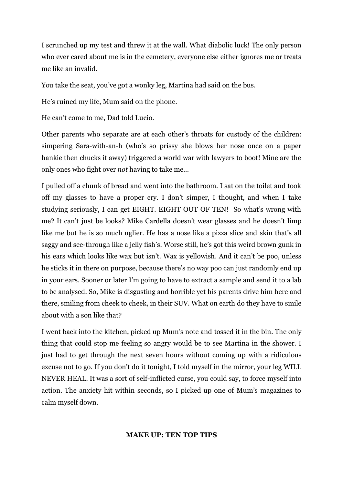I scrunched up my test and threw it at the wall. What diabolic luck! The only person who ever cared about me is in the cemetery, everyone else either ignores me or treats me like an invalid.

You take the seat, you've got a wonky leg, Martina had said on the bus.

He's ruined my life, Mum said on the phone.

He can't come to me, Dad told Lucio.

Other parents who separate are at each other's throats for custody of the children: simpering Sara-with-an-h (who's so prissy she blows her nose once on a paper hankie then chucks it away) triggered a world war with lawyers to boot! Mine are the only ones who fight over *not* having to take me…

I pulled off a chunk of bread and went into the bathroom. I sat on the toilet and took off my glasses to have a proper cry. I don't simper, I thought, and when I take studying seriously, I can get EIGHT. EIGHT OUT OF TEN! So what's wrong with me? It can't just be looks? Mike Cardella doesn't wear glasses and he doesn't limp like me but he is so much uglier. He has a nose like a pizza slice and skin that's all saggy and see-through like a jelly fish's. Worse still, he's got this weird brown gunk in his ears which looks like wax but isn't. Wax is yellowish. And it can't be poo, unless he sticks it in there on purpose, because there's no way poo can just randomly end up in your ears. Sooner or later I'm going to have to extract a sample and send it to a lab to be analysed. So, Mike is disgusting and horrible yet his parents drive him here and there, smiling from cheek to cheek, in their SUV. What on earth do they have to smile about with a son like that?

I went back into the kitchen, picked up Mum's note and tossed it in the bin. The only thing that could stop me feeling so angry would be to see Martina in the shower. I just had to get through the next seven hours without coming up with a ridiculous excuse not to go. If you don't do it tonight, I told myself in the mirror, your leg WILL NEVER HEAL. It was a sort of self-inflicted curse, you could say, to force myself into action. The anxiety hit within seconds, so I picked up one of Mum's magazines to calm myself down.

#### **MAKE UP: TEN TOP TIPS**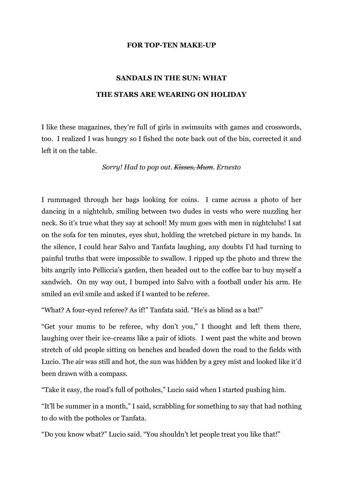#### **FOR TOP-TEN MAKE-UP**

# **SANDALS IN THE SUN: WHAT THE STARS ARE WEARING ON HOLIDAY**

I like these magazines, they're full of girls in swimsuits with games and crosswords, too. I realized I was hungry so I fished the note back out of the bin, corrected it and left it on the table.

*Sorry! Had to pop out. Kisses, Mum. Ernesto*

I rummaged through her bags looking for coins. I came across a photo of her dancing in a nightclub, smiling between two dudes in vests who were nuzzling her neck. So it's true what they say at school! My mum goes with men in nightclubs! I sat on the sofa for ten minutes, eyes shut, holding the wretched picture in my hands. In the silence, I could hear Salvo and Tanfata laughing, any doubts I'd had turning to painful truths that were impossible to swallow. I ripped up the photo and threw the bits angrily into Pelliccia's garden, then headed out to the coffee bar to buy myself a sandwich. On my way out, I bumped into Salvo with a football under his arm. He smiled an evil smile and asked if I wanted to be referee.

"What? A four-eyed referee? As if!" Tanfata said. "He's as blind as a bat!"

"Get your mums to be referee, why don't you," I thought and left them there, laughing over their ice-creams like a pair of idiots. I went past the white and brown stretch of old people sitting on benches and headed down the road to the fields with Lucio. The air was still and hot, the sun was hidden by a grey mist and looked like it'd been drawn with a compass.

"Take it easy, the road's full of potholes," Lucio said when I started pushing him.

"It'll be summer in a month," I said, scrabbling for something to say that had nothing to do with the potholes or Tanfata.

"Do you know what?" Lucio said. "You shouldn't let people treat you like that!"